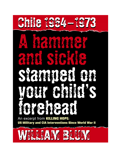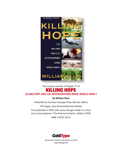

# This excerpt consists of Chapter ?? of **KILLING HOPE** US MILITARY AND CIA INTERVENTIONS SINCE WORLD WAR II

# By Willliam Blum

Published by Common Courage Press, Monroe, Maine 470 pages, fully documented and indexed

First published in 1995, with many changes made to it since and a new chapteron "The American Empire" added in 2003

ISBN 1-56751-252-6



WRITING WORTH READING FROM AROUND THE WORLD www.coldtype.net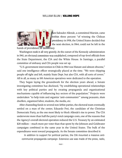**hands of providence**, or democracy.

hen Salvador Allende, a committed Marxist, came within three percent "of winning the Chilean presidency in 1958, the United States decided that the next election, in 1964, could not be left in the

Washington took it all very gravely. At the outset of the Kennedy administration in 1961, an electoral committee was established, composed of top-level officials from the State Department, the CIA and the White House. In Santiago, a parallel committee of embassy and CIA people was set up.

"U.S. government intervention in Chile in 1964 was blatant and almost obscene," said one intelligence officer strategically placed at the time. "We were shipping people off right and left, mainly State Dept. but also CIA, with all sorts of covers." All in all, as many as 100 American operatives were dedicated to the operation.

They began laying the groundwork for the election years ahead, a Senate investigating committee has disclosed, "by establishing operational relationships with key political parties and by creating propaganda and organizational mechanisms capable of influencing key sectors of the population." Projects were undertaken "to help train and organize 'anti-communists''' among peasants, slum dwellers, organized labor, students, the media, etc.

After channeling funds to several non-leftist parties, the electoral team eventually settled on a man of the center, Eduardo Frei, the candidate of the Christian Democratic Party, as the one most likely to block Allende's rise to power. The CIA underwrote more than half the party's total campaign costs,one of the reasons that the Agency's overall electoral operation reduced the U.S.Treasury by an estimated \$20 million – much more per voter than that spent by the Johnson and Goldwater campaigns combined in the same year in the United States. The bulk of the expenditures went toward propaganda. As the Senate committee described it:

In addition to support for political parties, the CIA mounted a massive anticommunist propaganda campaign. Extensive use was made of the press, radio,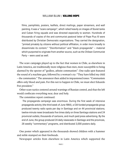films, pamphlets, posters, leaflets, direct mailings, paper streamers, and wall painting. It was a "scare campaign", which relied heavily on images of Soviet tanks and Cuban firing squads and was directed especially to women. Hundreds of thousands of copies of the anti-communist pastoral letter of Pope Pius XI were distributed by Christian Democratic organizations. They carried the designation, "printed privately by citizens without political affiliation, in order more broadly to disseminate its content." "Disinformation" and "black propaganda" – material which purported to originate from another source, such as the Chilean Communist Party – were used as well.

The scare campaign played up to the fact that women in Chile, as elsewhere in Latin America, are traditionally more religious than men, more susceptible to being alarmed by the specter of "godless, atheist communism". One radio spot featured the sound of a machine gun, followed by a woman's cry: "They have killed my child – the communists." The announcer then added in impassioned tones: "Communism offers only blood and pain. For this not to happen in Chile, we must elect Eduardo Frei president."

Other scare tactics centered around warnings of Russian control, and that the left would confiscate everything near, dear and holy.

The committee report continued:

The propaganda campaign was enormous. During the first week of intensive propaganda activity (the third week of June 1964), a CIA-funded propaganda group produced twenty radio spots per day in Santiago and on 44 provincial stations; twelve-minute news broadcasts five times daily on three Santiago stations and 24 provincial outlets; thousands of cartoons, and much paid press advertising. By the end of June, the group produced 24 daily newscasts in Santiago and the provinces, 26 weekly "commentary" programs, and distributed 3,000 posters daily.

One poster which appeared in the thousands showed children with a hammer and sickle stamped on their foreheads.

Newspaper articles from elsewhere in Latin America which supported the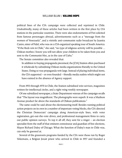political lines of the CIA campaign were collected and reprinted in Chile. Undoubtedly, many of these articles had been written in the first place by CIA stations in the particular countries. There were also endorsements of Frei solicited from famous personages abroad, advertisements such as a "message from the women of Venezuela", and a vitriolic anti-communist radio broadcast by Juanita Castro, sister of Fidel,who was on a CIA-organized speaking tour of South America: "If the Reds win in Chile," she said, "no type of religious activity will be possible ... Chilean mother,I know you will not allow your children to be taken from you and sent to the Communist bloc, as in the case of Cuba."

The Senate committee also revealed that:

In addition to buying propaganda piecemeal, the [CIA] Station often purchased it wholesale by subsidizing Chilean media organizations friendly to the United States. Doing so was propaganda writ large. Instead of placing individual items, the CIA supported – or even founded – friendly media outlets which might not have existed in the absence of Agency support.

From 1953 through 1970 in Chile, the Station subsidized wire services, magazines written for intellectual circles, and a right-wing weekly newspaper.

Of one subsidized newspaper, a State Department veteran of the campaign recalls that "The layout was magnificent.The photographs were superb.It was a Madison Avenue product far above the standards of Chilean publications."

The same could be said about the electioneering itself. Besides running political action projects on its own in a number of important voting blocks, the CIA directed the Christian Democrats' campaign along American-style lines, with voter registration, get-out-the-vote drives, and professional management firms to carry out public opinion surveys. To top it all off, they sent for a ringer – an election specialist from the staff of that eminent connoisseur and guardian of free elections, Mayor Richard Daley of Chicago. What the function of Daley's man in Chile was, can only be guessed at.

Several of the grassroots programs funded by the CIA were those run by Roger Vekemans, a Belgian Jesuit priest who arrived in Chile in 1957 and founded a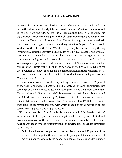network of social-action organizations, one of which grew to have 100 employees and a \$30 million annual budget. By his own declaration in 1963, Vekemans received \$5 million from the CIA as well as a like amount from AID to guide his organizations' resources in support of the Christian Democrats and Eduardo Frei, with whom Vekemans had close relations. The Jesuit's programs served the classic function of channeling revolutionary zeal along safe reformist paths.Church people working for the CIA in the Third World have typically been involved in gathering information about the activities and attitudes of individual peasants and workers, spotting the troublemakers, recruiting likely agents, preaching the gospel of anticommunism, acting as funding conduits, and serving as a religious "cover" for various Agency operations. An extreme anti-communist, Vekemans was a front-line soldier in the struggle of the Christian Democrats and the Catholic Church against the "liberation theology" then gaining momentum amongst the more liberal clergy in Latin America and which would lead to the historic dialogue between Christianity and Marxism.

The operation worked. It worked beyond expectations. Frei received 56 percent of the vote to Allende's 39 percent. The CIA regarded "the anti-communist scare campaign as the most effective activity undertaken", noted the Senate committee. This was the tactic directed toward Chilean women in particular. As things turned out,Allende won the men's vote by 67,000 over Frei (in Chile men and women vote separately), but amongst the women Frei came out ahead by 469,000 ... testimony, once again, to the remarkable ease with which the minds of the masses of people can be manipulated, in any and all societies.

What was there about Salvador Allende that warranted all this feverish activity? What threat did he represent, this man against whom the great technical and economic resources of the world's most powerful nation were brought to bear? Allende was a man whose political program, as described by the Senate committee report, was to:

Redistribute income [two percent of the population received 46 percent of the income] and reshape the Chilean economy, beginning with the nationalization of major industries, especially the copper companies; greatly expanded agrarian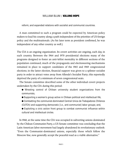reform; and expanded relations with socialist and communist countries.

A man committed to such a program could be expected by American policy makers to lead his country along a path independent of the priorities of US foreign policy and the multinationals. (As his later term as president confirmed, he was independent of any other country as well.)

The CIA is an ongoing organization. Its covert activities are ongoing, each day, in each country. Between the 1964 and 1970 presidential elections many of the programs designed to foster an anti-leftist mentality in different sections of the population continued; much of the propaganda and electioneering mechanisms remained in place to support candidates of the 1965 and 1969 congressional elections; in the latter election, financial support was given to a splinter socialist party in order to attract votes away from Allende's Socialist Party; this reportedly deprived the party of a minimum of seven congressional seats.

The Senate committee described some of the other individual covert projects undertaken by the CIA during this period:

- Wresting control of Chilean university student organizations from the communists;
- Supporting a women's group active in Chilean political and intellectual life;
- Combatting the communist-dominated Central Unica de Trabajadores Chilenos (CUTCh) and supporting democratic [i.e., anti-communist] labor groups; and,
- Exploiting a civic action front group to combat communist influence within cultural and intellectual circles.

In 1968, at the same time the CIA was occupied in subverting unions dominated by the Chilean Communist Party, a US Senate committee was concluding that the Latin American labor movement had largely abandoned its revolutionary outlook: "Even the Communist-dominated unions, especially those which follow the Moscow line, now generally accept the peaceful road as a viable alternative."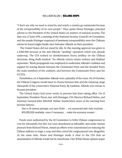"I don't see why we need to stand by and watch a country go communist because of the irresponsibility of its own people." Thus spoke Henry Kissinger, principal adviser to the President of the United States on matters of national security. The date was 27 June 1970, a meeting of the National Security Council's 40 Committee, and the people Kissinger suspected of imminent irresponsibility were the Chileans whom he feared might finally elect Salvador Allende as their president.

The United States did not stand by idly. At this meeting approval was given to a \$300,000 increase in the anti-Allende "spoiling" operation which was already underway. The CIA trained its disinformation heavy artillery on the Chilean electorate, firing shells marked: "An Allende victory means violence and Stalinist repression." Black propaganda was employed to undermine Allende's coalition and support by sowing dissent between the Communist Party and the Socialist Party, the main members of the coalition, and between the Communist Party and the CUTCh.

Nonetheless,on 4 September Allende won a plurality of the votes.On 24 October, the Chilean Congress would meet to choose between him and the runnerup, Jorge Alessandri of the conservative National Party. By tradition, Allende was certain to become president.

The United States had seven weeks to prevent him from taking office. On 15 September, President Nixon met with Kissinger, CIA Director Richard Helms, and Attorney General John Mitchell. Helms' handwritten notes of the meeting have become famous:

One in 10 chance perhaps, but save Chile! ... not concerned with risks involved ... \$10,000,000 available, more if necessary ... make the economy scream ...

Funds were authorized by the 40 Committee to bribe Chilean congressmen to vote for Alessandri, but this was soon abandoned as infeasible, and under intense pressure from Richard Nixon, American efforts were concentrated on inducing the Chilean military to stage a coup and then cancel the congressional vote altogether. At the same time, Nixon and Kissinger made it clear to the CIA that an assassination of Allende would not be unwelcome.One White House options-paper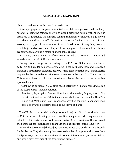discussed various ways this could be carried out.

A fresh propaganda campaign was initiated in Chile to impress upon the military, amongst others, the catastrophe which would befall the nation with Allende as president. In addition to the standard communist horror stories, it was made known that there would be a cutoff of American and other foreign assistance; this was accompanied by predictions/rumors of the nationalization of everything down to small shops, and of economic collapse.The campaign actually affected the Chilean economy adversely and a major financial panic ensued.

In private, Chilean military officers were warned that American military aid would come to a halt if Allende were seated.

During this interim period, according to the CIA, over 700 articles, broadcasts, editorials and similar items were generated in the Latin American and European media as a direct result of Agency activity.This is apart from the "real" media stories inspired by the planted ones. Moreover, journalists in the pay of the CIA arrived in Chile from at least ten different countries to enhance their material with on-thespot credibility.

The following portion of a CIA cable of 25 September 1970 offers some indication of the scope of such media operations:

Sao Paulo, Tegucigalpa, Buenos Aires, Lima, Montevideo, Bogota, Mexico City report continued replay of Chile theme materials. Items also carried in New York Times and Washington Post. Propaganda activities continue to generate good coverage of Chile developments along our theme guidance.

The CIA also gave "inside" briefings to American journalists about the situation in Chile. One such briefing provided to Time enlightened the magazine as to Allende's intention to support violence and destroy Chile's free press. This, observed the Senate report, "resulted in a change in the basic thrust" of the Time story.

When Allende criticized the leading conservative newspaper El Mercurio (heavily funded by the CIA), the Agency "orchestrated cables of support and protest from foreign newspapers, a protest statement from an international press association, and world press coverage of the association's protest."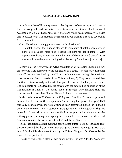A cable sent from CIA headquarters to Santiago on 19 October expressed concern that the coup still had no pretext or justification that it can offer to make it acceptable in Chile or Latin America. It therefore would seem necessary to create one to bolster what will probably be [the military's] claim to a coup to save Chile from communism.

One of headquarters' suggestions was the fabrication of:

Firm intel[ligence] that Cubans planned to reorganize all intelligence services along Soviet/Cuban mold thus creating structure for police state ... With appropriate military contact can determine how to "discover" intel[ligence] report which could even be planted during raids planned by Carabineros [the police].

Meanwhile, the Agency was in active consultation with several Chilean military officers who were receptive to the suggestion of a coup. (The difficulty in finding such officers was described by the CIA as a problem in overcoming "the apolitical, constitutional-oriented inertia of the Chilean military".) They were assured that the United States would give them full support short of direct military involvement. The immediate obstacle faced by the officers was the determined opposition of the Commander-in-Chief of the Army, René Schneider, who insisted that the constitutional process be followed. He would have to be "removed".

In the early morn of 22 October the CIA passed "sterilized" machine guns and ammunition to some of the conspirators. (Earlier they had passed tear gas.) That same day, Schneider was mortally wounded in an attempted kidnap (or "kidnap") on his way to work. The CIA station in Santiago cabled its headquarters that the general had been shot with the same kind of weapons it had delivered to the military plotters, although the Agency later claimed to the Senate that the actual assassins were not the same ones it had passed the weapons to.

The assassination did not avail the conspirators' purpose. It only served to rally the army around the flag of constitutionalism; and time was running out.Two days later, Salvador Allende was confirmed by the Chilean Congress. On 3 November he took office as president.

The stage was set for a clash of two experiments. One was Allende's "socialist"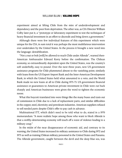experiment aimed at lifting Chile from the mire of underdevelopment and dependency and the poor from deprivation.The other was, as CIA Director William Colby later put it, a "prototype or laboratory experiment to test the techniques of heavy financial investment in an effort to discredit and bring down a government."

Although there were few individual features of this experiment which were unique for the CIA, in sum total it was perhaps the most multifarious intervention ever undertaken by the United States. In the process it brought a new word into the language: destabilization.

"Not a nut or bolt [will] be allowed to reach Chile under Allende", warned then-American Ambassador Edward Korry before the confirmation. The Chilean economy, so extraordinarily dependent upon the United States, was the country's soft underbelly, easy to pound. Over the next three years, new US government assistance programs for Chile plummeted almost to the vanishing point; similarly with loans from the US Export-Import Bank and the Inter-American Development Bank, in which the United States held what amounted to a veto; and the World Bank made no new loans at all to Chile during 1971-73. US government financial assistance or guarantees to American private investment in Chile were cut back sharply and American businesses were given the word to tighten the economic noose.

What this boycott translated into were things like the many buses and taxis out of commission in Chile due to a lack of replacement parts; and similar difficulties in the copper, steel, electricity and petroleum industries.American suppliers refused to sell needed parts despite Chile's offer to pay cash in advance.

Multinational ITT, which didn't need to be told what to do, stated in a 1970 memorandum: "A more realistic hope among those who want to block Allende is that a swiftly-deteriorating economy will touch off a wave of violence leading to a military coup."

In the midst of the near disappearance of economic aid, and contrary to its warning, the United States increased its military assistance to Chile during 1972 and 1973 as well as training Chilean military personnel in the United States and Panama. The Allende government, caught between the devil and the deep blue sea, was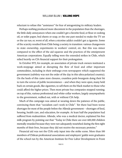reluctant to refuse this "assistance" for fear of antagonizing its military leaders.

Perhaps nothing produced more discontent in the population than the shortages, the little daily annoyances when one couldn't get a favorite food, or flour or cooking oil, or toilet paper, bed sheets or soap, or the one part needed to make the TV set or the car run; or,worst of all,when a nicotine addict couldn't get a cigarette. Some of the scarcity resulted from Chile being a society in transition: various changeovers to state ownership, experiments in workers' control, etc. But this was minor compared to the effect of the aid squeeze and the practices of the omnipresent American corporations. Equally telling were the extended strikes in Chile, which relied heavily on CIA financial support for their prolongation.

In October 1972, for example, an association of private truck owners instituted a work-stoppage aimed at disrupting the flow of food and other important commodities, including in their embargo even newspapers which supported the government (subtlety was not the order of the day in this ultra-polarized country). On the heels of this came store closures, countless petit-bourgeois doing their bit to turn the screws of public inconvenience – and when they were open, many held back on certain goods, like cigarettes, to sell them on the black market to those who could afford the higher prices. Then most private bus companies stopped running; on top of this, various professional and white-collar workers,largely unsympathetic to the government, walked out, with or without CIA help.

Much of this campaign was aimed at wearing down the patience of the public, convincing them that "socialism can't work in Chile". Yet there had been worse shortages for most of the people before the Allende government – shortages of food, housing, health care, and education, for example. At least half the population had suffered from malnutrition. Allende, who was a medical doctor, explained his free milk program by pointing out that "Today in Chile there are over 600,000 children mentally retarded because they were not adequately nourished during the first eight months of their lives, because they did not receive the necessary proteins."

Financial aid was not the CIA's only input into the strike scene. More than 100 members of Chilean professional associations and employers' guilds were graduates of the school run by the American Institute for Free Labor Development in Front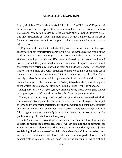Royal, Virginia – "The Little Anti-Red Schoolhouse". AIFLD, the CIA's principal Latin America labor organization, also assisted in the formation of a new professional association in May 1971: the Confederation of Chilean Professionals. The labor specialists of AIFLD had more than a decade's experience in the art of fomenting economic turmoil (or keeping workers quiescent when the occasion called for it).

CIA propaganda merchants had a field day with the disorder and the shortages, exacerbating both by instigating panic buying. All the techniques, the whole of the media saturation, the handy organizations created for each and every purpose, so efficiently employed in 1964 and 1970, were facilitated by the virtually unlimited license granted the press: headlines and stories which spread rumors about everything from nationalizations to bad meat and undrinkable water ... "Economic Chaos! Chile on Brink of Doom!" in the largest type one could ever expect to see in a newspaper ... raising the specter of civil war, when not actually calling for it, literally ... alarmist stories which anywhere else in the world would have been branded seditious ...the worst of London's daily tabloids or the National Enquirer of the United States appear as staid as a journal of dentistry by comparison.

In response, on a few occasions, the government briefly closed down a newspaper or magazine, on the left as well as on the right, for endangering security.

The Agency's routine support of the political opposition was extended to include the extreme rightist organization Patria y Libertad,which the CIA reportedly helped to form, and whose members it trained in guerrilla warfare and bombing techniques at schools in Bolivia and Los Fresnos, Texas. Patria y Libertad marched in rallies in full riot gear, engaged repeatedly in acts of violence and provocation, and its publications openly called for a military coup.

The CIA was engaged in courting the military for the same end. Providing military equipment meant the normal presence of US advisers and the opportunity for Americans to work closely with the Chileans. Since 1969, the Agency had been establishing "intelligence assets" in all three branches of the Chilean armed services, and included "command-level officers, field- and company-grade officers, retired general staff officers and enlisted men." Employing its usual blend of real and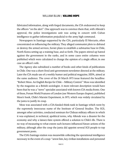fabricated information, along with forged documents, the CIA endeavored to keep the officers "on the alert". One approach was to convince them that, with Allende's approval, the police investigations unit was acting in concert with Cuban intelligence to gather information prejudicial to the army high command.

Newspapers in Santiago supported by the CIA, particularly El Mercurio, often concentrated on influencing the military.They alleged communist plots to disband or destroy the armed services, Soviet plans to establish a submarine base in Chile, North Korea setting up a training base, and so forth. The papers stirred up hatred against the government in the ranks, and in some cases entire columns were published which were calculated to change the opinion of a single officer, in one case an officer's wife.

The Agency also subsidized a number of books and other kinds of publications in Chile.One was a short-lived anti-government newsletter directed at the military. Later the CIA made use of a weekly humor and political magazine, SEPA, aimed at the same audience. The cover of the 20 March 1973 issue featured the headline: "Robert Moss.An English Recipe for Chile – Military Control." Moss was identified by the magazine as a British sociologist. A more relevant description would have been that he was a "news" specialist associated with known CIA media fronts. One of these, Forum World Features of London (see Western Europe chapter), published Moss's book, Chile's Marxist Experiment, in 1973, which was widely circulated by the junta to justify its coup.

Moss was associated with a CIA-funded think-tank in Santiago which went by the supremely innocuous name of the Institute of General Studies. The IGS, amongst other activities, conducted seminars for Chilean military officers in which it was explained, in technical, apolitical terms, why Allende was a disaster for the economy and why a laissez-faire system offered a solution to Chile's ills. There is no way of measuring to what extent such lectures influenced future actions of the military, although after the coup the junta did appoint several IGS people to top government posts.

The CIA's Santiago station was meanwhile collecting the operational intelligence necessary in the event of a coup: "arrest lists, key civilian installations and personnel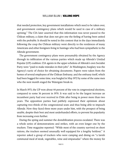that needed protection, key government installations which need to be taken over, and government contingency plans which would be used in case of a military uprising." The CIA later asserted that this information was never passed to the Chilean military, a claim that does not give one the feeling of having been united with the probable. It should be noted in this context that in the days immediately following the coup the Chilean military went directly to the residences of many Americans and other foreigners living in Santiago who had been sympathetic to the Allende government.

The government contingency plans were presumably obtained by the Agency through its infiltration of the various parties which made up Allende's Unidad Popular (UP) coalition.CIA agents in the upper echelons of Allende's own Socialist Party were "paid to make mistakes in their jobs".In Washington, burglary was the Agency's tactic of choice for obtaining documents. Papers were taken from the homes of several employees of the Chilean Embassy; and the embassy itself, which had been bugged for some time, was burgled in May 1972 by some of the same men who the next month staged the Watergate break-in.

In March 1973, the UP won about 44 percent of the vote in congressional elections, compared to some 36 percent in 1970. It was said to be the largest increase an incumbent party had ever received in Chile after being in power more than two years. The opposition parties had publicly expressed their optimism about capturing two-thirds of the congressional seats and thus being able to impeach Allende. Now they faced three more years under him, with the prospect of being unable, despite their best and most underhanded efforts, to prevent his popularity from increasing even further.

During the spring and summer the destabilization process escalated. There was a whole series of demonstrations and strikes, with an even longer one by the truckers. Time magazine reported: "While most of the country survived on short rations, the truckers seemed unusually well equipped for a lengthy holdout." A reporter asked a group of truckers who were camping and dining on "a lavish communal meal of steak, vegetables, wine and empanadas" where the money for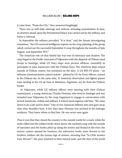it came from. "From the CIA," they answered laughingly.

There was as well daily sabotage and violence, including assassination. In June, an abortive attack upon the Presidential Palace was carried out by the military and Patria y Libertad.

In September the military prevailed. "It is clear," said the Senate investigating committee, "the CIA received intelligence reports on the coup planning of the group which carried out the successful September 11 coup throughout the months of July, August, and September 1973."

The American role on that fateful day was one of substance and shadow. The coup began in the Pacific coast port of Valparaiso with the dispatch of Chilean naval troops to Santiago, while US Navy ships were present offshore, ostensibly to participate in joint maneuvers with the Chilean Navy. The American ships stayed outside of Chilean waters, but remained on the alert. A US WB-575 plane – an airborne communications control system – piloted by US Air Force officers, cruised in the Chilean sky. At the same time, 32 American observation and fighter planes were landing at the US air base in Mendoza, Argentina, not far from the Chilean border.

In Valparaiso, while US military officers were meeting with their Chilean counterparts, a young American, Charles Horman, who lived in Santiago and was stranded near Valparaiso by the coup, happened to engage in conversation with several Americans, civilian and military.A retired naval engineer told him: "We came down to do a job and it's done." One or two American military men also gave away clues they shouldn't have. A few days later, Horman was arrested in his Santiago residence. They knew where to find him. He was never seen again.

Thus it was that they closed the country to the outside world for a week, while the tanks rolled and the soldiers broke down doors;the stadiums rang with the sounds of execution and the bodies piled up along the streets and floated in the river; the torture centers opened for business; the subversive books were thrown to the bonfires; soldiers slit the trouser legs of women, shouting that "In Chile women wear dresses!"; the poor returned to their natural state; and the men of the world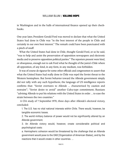in Washington and in the halls of international finance opened up their checkbooks.

One year later, President Gerald Ford was moved to declare that what the United States had done in Chile was "in the best interest of the people in Chile and certainly in our own best interest." The remark could have been punctuated with a pinch of snuff.

What the United States had done in Chile, thought Gerald Ford, or so he said, "was to help and assist the preservation of opposition newspapers and electronic media and to preserve opposition political parties." The reporters present were kind, or obsequious, enough not to ask Ford what he thought of the junta's Chile where all opposition, of any kind, in any form, in any medium, was forbidden.

It was of course de rigueur for some other officials and congressmen to assert that what the United States had really done in Chile was repel the Soviet threat to the Western hemisphere. But Soviet behavior toward the Allende government simply did not tally with any such hypothesis; the language of US intelligence reports confirms that: "Soviet overtures to Allende ... characterized by caution and restraint"; "Soviet desire to avoid" another Cuba-type commitment; Russians "advising Allende to put his relations with the United States in order ...to ease the strain between the two countries."

A CIA study of 7 September 1970, three days after Allende's electoral victory, concluded:

1. The U.S. has no vital national interests within Chile. There would, however, be tangible economic losses.

2. The world military balance of power would not be significantly altered by an Allende government.

3. An Allende victory would, however, create considerable political and psychological costs:

a. Hemispheric cohesion would be threatened by the challenge that an Allende government would pose to the OAS [Organization of American States], and by the reactions that it would create in other countries. ...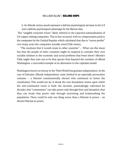b. An Allende victory would represent a definite psychological set-back to the U.S and a definite psychological advantage for the Marxist idea.

The "tangible economic losses" likely referred to the expected nationalization of US copper-mining companies. This in fact occurred, with no compensation paid to the companies by the Unidad Popular,which calculated that due to "excess profits" over many years the companies actually owed Chile money.

"The reactions that it would create in other countries" ... What can this mean but that the people of other countries might be inspired to consider their own socialist solution to the economic and social problems that beset them? Allende's Chile might thus turn out to be that specter that haunted the corridors of official Washington: a successful example of an alternative to the capitalist model.

Washington knows no heresy in the Third World but genuine independence. In the case of Salvador Allende independence came clothed in an especially provocative costume – a Marxist constitutionally elected who continued to honor the constitution. This would not do. It shook the very foundation stones upon which the anti-communist tower is built: the doctrine, painstakingly cultivated for decades, that "communists" can take power only through force and deception, that they can retain that power only through terrorizing and brainwashing the population. There could be only one thing worse than a Marxist in power – an elected Marxist in power.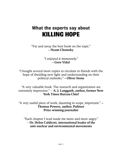# **What the experts say about KILLING HOPE**

"Far and away the best book on the topic." **– Noam Chomsky**

> "I enjoyed it immensely." **– Gore Vidal**

"I bought several more copies to circulate to friends with the hope of shedding new light and understanding on their political outlooks." **– Oliver Stone**

"A very valuable book. The research and organization are extremely impressive." – **A. J. Langguth, author, former New York Times Bureau Chief**

"A very useful piece of work, daunting in scope, important." **– Thomas Powers, author, Pulitzer Prize-winning journalist**

"Each chapter I read made me more and more angry." – **Dr. Helen Caldicott, international leader of the anti-nuclear and environmental movements**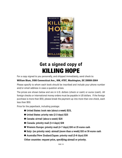

# **Get a signed copy of KILLING HOPE**

For a copy signed to you personally, and shipped immediately, send check to:

# **William Blum, 5100 Connecticut Ave., NW, #707, Washington, DC 20008-2064**

Please specify to whom each book should be inscribed and include your phone number and/or email address in case a question arises.

The prices are shown below and are in U.S. dollars (check or cash) or euros (cash). All foreign checks or international money orders must be payable in US dollars. If the foreign purchase is more than \$50, please break the payment up into more than one check, each less than \$50.

Price for the paperback, including postage:

- United States: book rate (about a week) \$23,
- United States: priority rate (2-3 days) \$25
- Canada: airmail (about a week) \$26
- Canada: priority mail (3-4 days) \$28
- Western Europe: priority mail (4-7 days) \$30 or 25 euros cash
- Italy: (no priority rate): airmail (more than a week) \$32 or 30 euros cash
- Australia/New Zealand/Japan: priority mail (5-8 days) \$30

Other countries: request price, specifying airmail or priority.